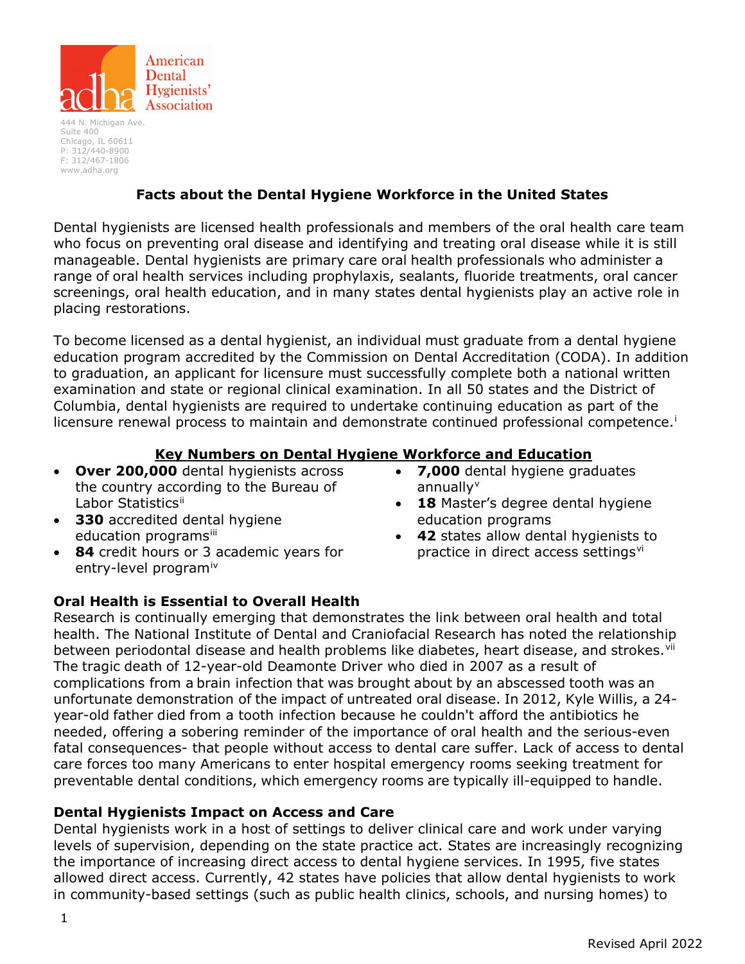

444 N. Michigan Ave. Suite 400 Chicago, IL 60611 P: 312/440-8900 F: 312/467-1806 [www.adha.org](http://www.adha.org/)

# **Facts about the Dental Hygiene Workforce in the United States**

Dental hygienists are licensed health professionals and members of the oral health care team who focus on preventing oral disease and identifying and treating oral disease while it is still manageable. Dental hygienists are primary care oral health professionals who administer a range of oral health services including prophylaxis, sealants, fluoride treatments, oral cancer screenings, oral health education, and in many states dental hygienists play an active role in placing restorations.

To become licensed as a dental hygienist, an individual must graduate from a dental hygiene education program accredited by the Commission on Dental Accreditation (CODA). In addition to graduation, an applicant for licensure must successfully complete both a national written examination and state or regional clinical examination. In all 50 states and the District of Columbia, dental hygienists are required to undertake continuing education as part of the l[i](#page-2-0)censure renewal process to maintain and demonstrate continued professional competence.<sup>i</sup>

### **Key Numbers on Dental Hygiene Workforce and Education**

- **Over 200,000** dental hygienists across the country according to the Bureau of Labor Statistics[ii](#page-2-1)
- **330** accredited dental hygiene education programs[iii](#page-2-2)
- **84** credit hours or 3 academic years for entry-level program[iv](#page-3-0)
- **7,000** dental hygiene graduates annually $v$
- **18** Master's degree dental hygiene education programs
- **42** states allow dental hygienists to practice in direct access settings<sup>[vi](#page-3-2)</sup>

### **Oral Health is Essential to Overall Health**

Research is continually emerging that demonstrates the link between oral health and total health. The National Institute of Dental and Craniofacial Research has noted the relationship between periodontal disease and health problems like diabetes, heart disease, and strokes.<sup>[vii](#page-3-3)</sup> The tragic death of 12-year-old Deamonte Driver who died in 2007 as a result of complications from a brain infection that was brought about by an abscessed tooth was an unfortunate demonstration of the impact of untreated oral disease. In 2012, Kyle Willis, a 24 year-old father died from a tooth infection because he couldn't afford the antibiotics he needed, offering a sobering reminder of the importance of oral health and the serious-even fatal consequences- that people without access to dental care suffer. Lack of access to dental care forces too many Americans to enter hospital emergency rooms seeking treatment for preventable dental conditions, which emergency rooms are typically ill-equipped to handle.

### **Dental Hygienists Impact on Access and Care**

Dental hygienists work in a host of settings to deliver clinical care and work under varying levels of supervision, depending on the state practice act. States are increasingly recognizing the importance of increasing direct access to dental hygiene services. In 1995, five states allowed direct access. Currently, 42 states have policies that allow dental hygienists to work in community-based settings (such as public health clinics, schools, and nursing homes) to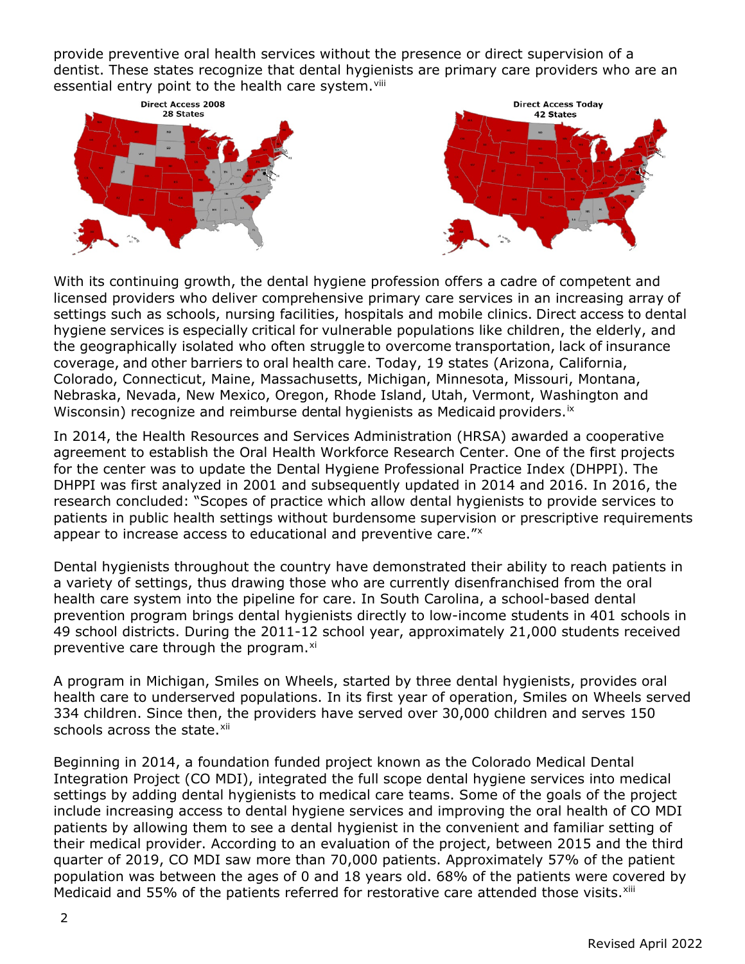provide preventive oral health services without the presence or direct supervision of a dentist. These states recognize that dental hygienists are primary care providers who are an essential entry point to the health care system. Vili



With its continuing growth, the dental hygiene profession offers a cadre of competent and licensed providers who deliver comprehensive primary care services in an increasing array of settings such as schools, nursing facilities, hospitals and mobile clinics. Direct access to dental hygiene services is especially critical for vulnerable populations like children, the elderly, and the geographically isolated who often struggle to overcome transportation, lack of insurance coverage, and other barriers to oral health care. Today, 19 states (Arizona, California, Colorado, Connecticut, Maine, Massachusetts, Michigan, Minnesota, Missouri, Montana, Nebraska, Nevada, New Mexico, Oregon, Rhode Island, Utah, Vermont, Washington and Wisconsin) recognize and reimburse dental hygienists as Medicaid providers. [ix](#page-3-5)

In 2014, the Health Resources and Services Administration (HRSA) awarded a cooperative agreement to establish the Oral Health Workforce Research Center. One of the first projects for the center was to update the Dental Hygiene Professional Practice Index (DHPPI). The DHPPI was first analyzed in 2001 and subsequently updated in 2014 and 2016. In 2016, the research concluded: "Scopes of practice which allow dental hygienists to provide services to patients in public health settings without burdensome supervision or prescriptive requirements appear to increase access to educational and preventive care."[x](#page-3-6)

Dental hygienists throughout the country have demonstrated their ability to reach patients in a variety of settings, thus drawing those who are currently disenfranchised from the oral health care system into the pipeline for care. In South Carolina, a school-based dental prevention program brings dental hygienists directly to low-income students in 401 schools in 49 school districts. During the 2011-12 school year, approximately 21,000 students received preventive care through the program.<sup>[xi](#page-3-7)</sup>

A program in Michigan, Smiles on Wheels, started by three dental hygienists, provides oral health care to underserved populations. In its first year of operation, Smiles on Wheels served 334 children. Since then, the providers have served over 30,000 children and serves 150 schools across the state.<sup>[xii](#page-3-8)</sup>

Beginning in 2014, a foundation funded project known as the Colorado Medical Dental Integration Project (CO MDI), integrated the full scope dental hygiene services into medical settings by adding dental hygienists to medical care teams. Some of the goals of the project include increasing access to dental hygiene services and improving the oral health of CO MDI patients by allowing them to see a dental hygienist in the convenient and familiar setting of their medical provider. According to an evaluation of the project, between 2015 and the third quarter of 2019, CO MDI saw more than 70,000 patients. Approximately 57% of the patient population was between the ages of 0 and 18 years old. 68% of the patients were covered by Medicaid and 55% of the patients referred for restorative care attended those visits.<sup>[xiii](#page-3-9)</sup>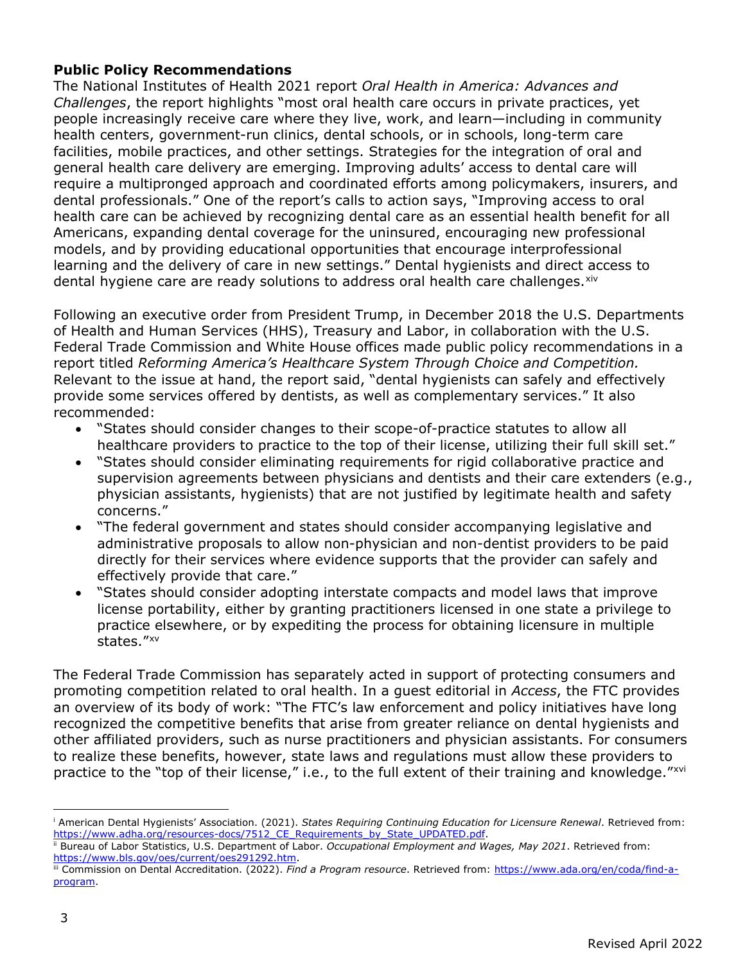## **Public Policy Recommendations**

The National Institutes of Health 2021 report *Oral Health in America: Advances and Challenges*, the report highlights "most oral health care occurs in private practices, yet people increasingly receive care where they live, work, and learn—including in community health centers, government-run clinics, dental schools, or in schools, long-term care facilities, mobile practices, and other settings. Strategies for the integration of oral and general health care delivery are emerging. Improving adults' access to dental care will require a multipronged approach and coordinated efforts among policymakers, insurers, and dental professionals." One of the report's calls to action says, "Improving access to oral health care can be achieved by recognizing dental care as an essential health benefit for all Americans, expanding dental coverage for the uninsured, encouraging new professional models, and by providing educational opportunities that encourage interprofessional learning and the delivery of care in new settings." Dental hygienists and direct access to dental hygiene care are ready solutions to address oral health care challenges. xiv

Following an executive order from President Trump, in December 2018 the U.S. Departments of Health and Human Services (HHS), Treasury and Labor, in collaboration with the U.S. Federal Trade Commission and White House offices made public policy recommendations in a report titled *Reforming America's Healthcare System Through Choice and Competition.*  Relevant to the issue at hand, the report said, "dental hygienists can safely and effectively provide some services offered by dentists, as well as complementary services." It also recommended:

- "States should consider changes to their scope-of-practice statutes to allow all healthcare providers to practice to the top of their license, utilizing their full skill set."
- "States should consider eliminating requirements for rigid collaborative practice and supervision agreements between physicians and dentists and their care extenders (e.g., physician assistants, hygienists) that are not justified by legitimate health and safety concerns."
- "The federal government and states should consider accompanying legislative and administrative proposals to allow non-physician and non-dentist providers to be paid directly for their services where evidence supports that the provider can safely and effectively provide that care."
- "States should consider adopting interstate compacts and model laws that improve license portability, either by granting practitioners licensed in one state a privilege to practice elsewhere, or by expediting the process for obtaining licensure in multiple states."[xv](#page-3-11)

The Federal Trade Commission has separately acted in support of protecting consumers and promoting competition related to oral health. In a guest editorial in *Access*, the FTC provides an overview of its body of work: "The FTC's law enforcement and policy initiatives have long recognized the competitive benefits that arise from greater reliance on dental hygienists and other affiliated providers, such as nurse practitioners and physician assistants. For consumers to realize these benefits, however, state laws and regulations must allow these providers to practice to the "top of their license," i.e., to the full extent of their training and knowledge."[xvi](#page-3-12)

<span id="page-2-0"></span><sup>i</sup> American Dental Hygienists' Association. (2021). *States Requiring Continuing Education for Licensure Renewal*. Retrieved from: [https://www.adha.org/resources-docs/7512\\_CE\\_Requirements\\_by\\_State\\_UPDATED.pdf.](https://www.adha.org/resources-docs/7512_CE_Requirements_by_State_UPDATED.pdf) ii Bureau of Labor Statistics, U.S. Department of Labor. *Occupational Employment and Wages, May 2021*. Retrieved from:

<span id="page-2-1"></span>

<span id="page-2-2"></span>[https://www.bls.gov/oes/current/oes291292.htm.](https://www.bls.gov/oes/current/oes291292.htm)<br>iii Commission on Dental Accreditation. (2022). *Find a Program resource*. Retrieved from: [https://www.ada.org/en/coda/find-a](https://www.ada.org/en/coda/find-a-program)[program.](https://www.ada.org/en/coda/find-a-program)